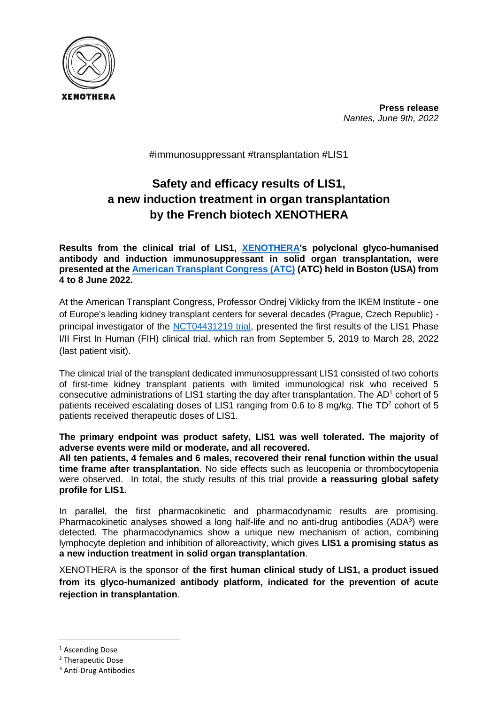

**Press release** *Nantes, June 9th, 2022*

#immunosuppressant #transplantation #LIS1

# **Safety and efficacy results of LIS1, a new induction treatment in organ transplantation by the French biotech XENOTHERA**

**Results from the clinical trial of LIS1, [XENOTHERA'](https://www.xenothera.com/)s polyclonal glyco-humanised antibody and induction immunosuppressant in solid organ transplantation, were presented at the [American Transplant Congress \(ATC\)](https://atcmeeting.org/) (ATC) held in Boston (USA) from 4 to 8 June 2022.**

At the American Transplant Congress, Professor Ondrej Viklicky from the IKEM Institute - one of Europe's leading kidney transplant centers for several decades (Prague, Czech Republic) - principal investigator of the [NCT04431219 trial,](https://clinicaltrials.gov/ct2/show/NCT04431219) presented the first results of the LIS1 Phase I/II First In Human (FIH) clinical trial, which ran from September 5, 2019 to March 28, 2022 (last patient visit).

The clinical trial of the transplant dedicated immunosuppressant LIS1 consisted of two cohorts of first-time kidney transplant patients with limited immunological risk who received 5 consecutive administrations of LIS1 starting the day after transplantation. The  $AD<sup>1</sup>$  cohort of 5 patients received escalating doses of LIS1 ranging from 0.6 to 8 mg/kg. The  $TD^2$  cohort of 5 patients received therapeutic doses of LIS1.

**The primary endpoint was product safety, LIS1 was well tolerated. The majority of adverse events were mild or moderate, and all recovered.**

**All ten patients, 4 females and 6 males, recovered their renal function within the usual time frame after transplantation**. No side effects such as leucopenia or thrombocytopenia were observed. In total, the study results of this trial provide **a reassuring global safety profile for LIS1.**

In parallel, the first pharmacokinetic and pharmacodynamic results are promising. Pharmacokinetic analyses showed a long half-life and no anti-drug antibodies  $(ADA^3)$  were detected. The pharmacodynamics show a unique new mechanism of action, combining lymphocyte depletion and inhibition of alloreactivity, which gives **LIS1 a promising status as a new induction treatment in solid organ transplantation**.

XENOTHERA is the sponsor of **the first human clinical study of LIS1, a product issued from its glyco-humanized antibody platform, indicated for the prevention of acute rejection in transplantation**.

1

<sup>&</sup>lt;sup>1</sup> Ascending Dose

<sup>2</sup> Therapeutic Dose

<sup>3</sup> Anti-Drug Antibodies